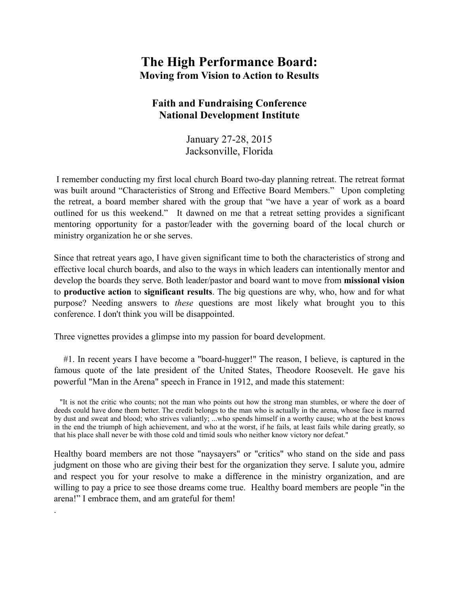## **The High Performance Board: Moving from Vision to Action to Results**

## **Faith and Fundraising Conference National Development Institute**

January 27-28, 2015 Jacksonville, Florida

 I remember conducting my first local church Board two-day planning retreat. The retreat format was built around "Characteristics of Strong and Effective Board Members." Upon completing the retreat, a board member shared with the group that "we have a year of work as a board outlined for us this weekend." It dawned on me that a retreat setting provides a significant mentoring opportunity for a pastor/leader with the governing board of the local church or ministry organization he or she serves.

Since that retreat years ago, I have given significant time to both the characteristics of strong and effective local church boards, and also to the ways in which leaders can intentionally mentor and develop the boards they serve. Both leader/pastor and board want to move from **missional vision**  to **productive action** to **significant results**. The big questions are why, who, how and for what purpose? Needing answers to *these* questions are most likely what brought you to this conference. I don't think you will be disappointed.

Three vignettes provides a glimpse into my passion for board development.

.

 #1. In recent years I have become a "board-hugger!" The reason, I believe, is captured in the famous quote of the late president of the United States, Theodore Roosevelt. He gave his powerful "Man in the Arena" speech in France in 1912, and made this statement:

Healthy board members are not those "naysayers" or "critics" who stand on the side and pass judgment on those who are giving their best for the organization they serve. I salute you, admire and respect you for your resolve to make a difference in the ministry organization, and are willing to pay a price to see those dreams come true. Healthy board members are people "in the arena!" I embrace them, and am grateful for them!

 <sup>&</sup>quot;It is not the critic who counts; not the man who points out how the strong man stumbles, or where the doer of deeds could have done them better. The credit belongs to the man who is actually in the arena, whose face is marred by dust and sweat and blood; who strives valiantly; ...who spends himself in a worthy cause; who at the best knows in the end the triumph of high achievement, and who at the worst, if he fails, at least fails while daring greatly, so that his place shall never be with those cold and timid souls who neither know victory nor defeat."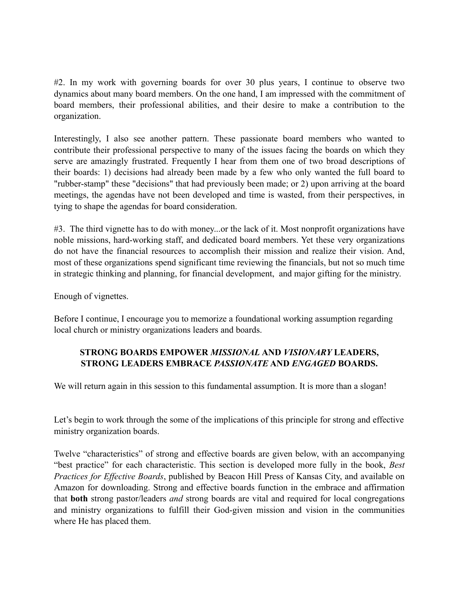#2. In my work with governing boards for over 30 plus years, I continue to observe two dynamics about many board members. On the one hand, I am impressed with the commitment of board members, their professional abilities, and their desire to make a contribution to the organization.

Interestingly, I also see another pattern. These passionate board members who wanted to contribute their professional perspective to many of the issues facing the boards on which they serve are amazingly frustrated. Frequently I hear from them one of two broad descriptions of their boards: 1) decisions had already been made by a few who only wanted the full board to "rubber-stamp" these "decisions" that had previously been made; or 2) upon arriving at the board meetings, the agendas have not been developed and time is wasted, from their perspectives, in tying to shape the agendas for board consideration.

#3. The third vignette has to do with money...or the lack of it. Most nonprofit organizations have noble missions, hard-working staff, and dedicated board members. Yet these very organizations do not have the financial resources to accomplish their mission and realize their vision. And, most of these organizations spend significant time reviewing the financials, but not so much time in strategic thinking and planning, for financial development, and major gifting for the ministry.

Enough of vignettes.

Before I continue, I encourage you to memorize a foundational working assumption regarding local church or ministry organizations leaders and boards.

## **STRONG BOARDS EMPOWER** *MISSIONAL* **AND** *VISIONARY* **LEADERS, STRONG LEADERS EMBRACE** *PASSIONATE* **AND** *ENGAGED* **BOARDS.**

We will return again in this session to this fundamental assumption. It is more than a slogan!

Let's begin to work through the some of the implications of this principle for strong and effective ministry organization boards.

Twelve "characteristics" of strong and effective boards are given below, with an accompanying "best practice" for each characteristic. This section is developed more fully in the book, *Best Practices for Effective Boards*, published by Beacon Hill Press of Kansas City, and available on Amazon for downloading. Strong and effective boards function in the embrace and affirmation that **both** strong pastor/leaders *and* strong boards are vital and required for local congregations and ministry organizations to fulfill their God-given mission and vision in the communities where He has placed them.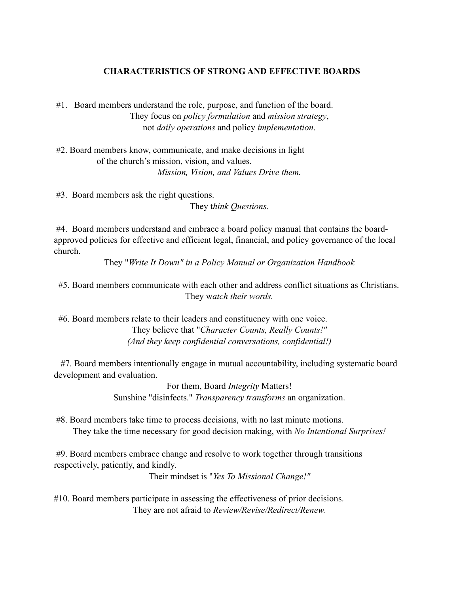#### **CHARACTERISTICS OF STRONG AND EFFECTIVE BOARDS**

 #1. Board members understand the role, purpose, and function of the board. They focus on *policy formulation* and *mission strategy*, not *daily operations* and policy *implementation*.

 #2. Board members know, communicate, and make decisions in light of the church's mission, vision, and values. *Mission, Vision, and Values Drive them.*

 #3. Board members ask the right questions. They t*hink Questions.*

 #4. Board members understand and embrace a board policy manual that contains the boardapproved policies for effective and efficient legal, financial, and policy governance of the local church.

They "*Write It Down" in a Policy Manual or Organization Handbook*

 #5. Board members communicate with each other and address conflict situations as Christians. They w*atch their words.*

 #6. Board members relate to their leaders and constituency with one voice. They believe that "*Character Counts, Really Counts!" (And they keep confidential conversations, confidential!)* 

 #7. Board members intentionally engage in mutual accountability, including systematic board development and evaluation.

> For them, Board *Integrity* Matters! Sunshine "disinfects." *Transparency transforms* an organization.

 #8. Board members take time to process decisions, with no last minute motions. They take the time necessary for good decision making, with *No Intentional Surprises!*

 #9. Board members embrace change and resolve to work together through transitions respectively, patiently, and kindly.

Their mindset is "*Yes To Missional Change!"*

#10. Board members participate in assessing the effectiveness of prior decisions. They are not afraid to *Review/Revise/Redirect/Renew.*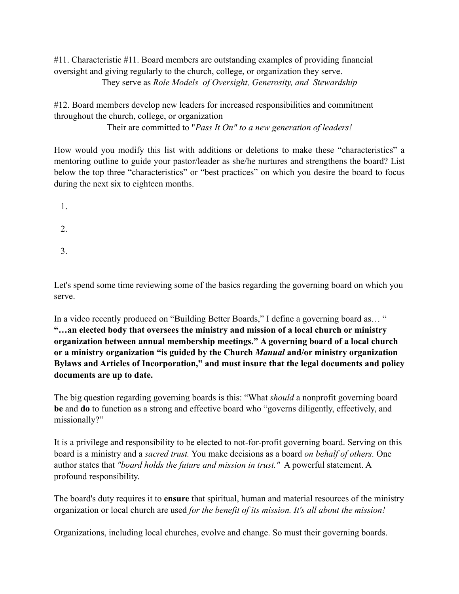#11. Characteristic #11. Board members are outstanding examples of providing financial oversight and giving regularly to the church, college, or organization they serve. They serve as *Role Models of Oversight, Generosity, and Stewardship* 

#12. Board members develop new leaders for increased responsibilities and commitment throughout the church, college, or organization

Their are committed to "*Pass It On" to a new generation of leaders!*

How would you modify this list with additions or deletions to make these "characteristics" a mentoring outline to guide your pastor/leader as she/he nurtures and strengthens the board? List below the top three "characteristics" or "best practices" on which you desire the board to focus during the next six to eighteen months.

1.

- 2.
- 3.

Let's spend some time reviewing some of the basics regarding the governing board on which you serve.

In a video recently produced on "Building Better Boards," I define a governing board as… " **"…an elected body that oversees the ministry and mission of a local church or ministry organization between annual membership meetings." A governing board of a local church or a ministry organization "is guided by the Church** *Manual* **and/or ministry organization Bylaws and Articles of Incorporation," and must insure that the legal documents and policy documents are up to date.** 

The big question regarding governing boards is this: "What *should* a nonprofit governing board **be** and **do** to function as a strong and effective board who "governs diligently, effectively, and missionally?"

It is a privilege and responsibility to be elected to not-for-profit governing board. Serving on this board is a ministry and a *sacred trust.* You make decisions as a board *on behalf of others.* One author states that *"board holds the future and mission in trust."* A powerful statement. A profound responsibility.

The board's duty requires it to **ensure** that spiritual, human and material resources of the ministry organization or local church are used *for the benefit of its mission. It's all about the mission!* 

Organizations, including local churches, evolve and change. So must their governing boards.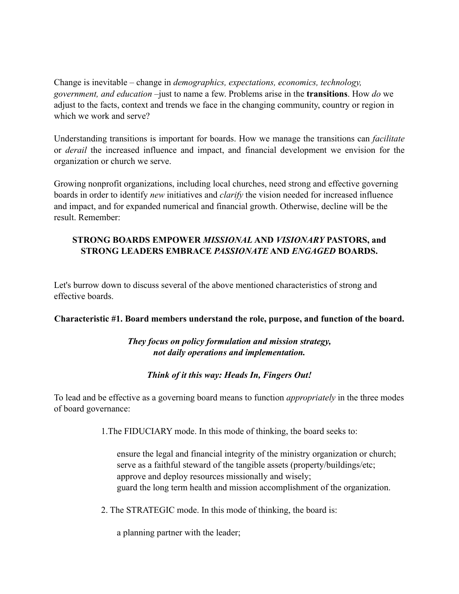Change is inevitable – change in *demographics, expectations, economics, technology, government, and education* –just to name a few. Problems arise in the **transitions**. How *do* we adjust to the facts, context and trends we face in the changing community, country or region in which we work and serve?

Understanding transitions is important for boards. How we manage the transitions can *facilitate* or *derail* the increased influence and impact, and financial development we envision for the organization or church we serve.

Growing nonprofit organizations, including local churches, need strong and effective governing boards in order to identify *new* initiatives and *clarify* the vision needed for increased influence and impact, and for expanded numerical and financial growth. Otherwise, decline will be the result. Remember:

## **STRONG BOARDS EMPOWER** *MISSIONAL* **AND** *VISIONARY* **PASTORS, and STRONG LEADERS EMBRACE** *PASSIONATE* **AND** *ENGAGED* **BOARDS.**

Let's burrow down to discuss several of the above mentioned characteristics of strong and effective boards.

#### **Characteristic #1. Board members understand the role, purpose, and function of the board.**

## *They focus on policy formulation and mission strategy, not daily operations and implementation.*

## *Think of it this way: Heads In, Fingers Out!*

To lead and be effective as a governing board means to function *appropriately* in the three modes of board governance:

1.The FIDUCIARY mode. In this mode of thinking, the board seeks to:

 ensure the legal and financial integrity of the ministry organization or church; serve as a faithful steward of the tangible assets (property/buildings/etc; approve and deploy resources missionally and wisely; guard the long term health and mission accomplishment of the organization.

2. The STRATEGIC mode. In this mode of thinking, the board is:

a planning partner with the leader;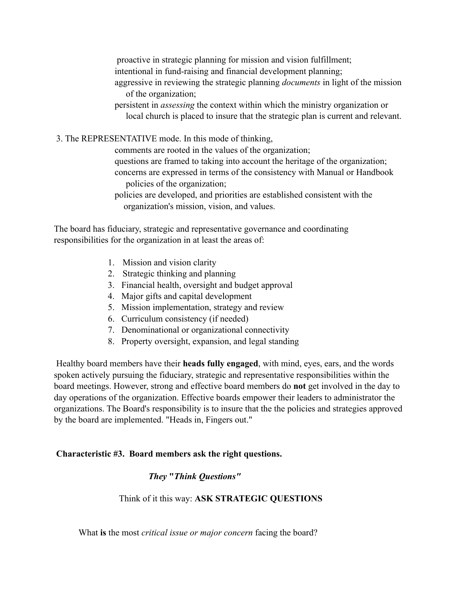proactive in strategic planning for mission and vision fulfillment; intentional in fund-raising and financial development planning; aggressive in reviewing the strategic planning *documents* in light of the mission of the organization;

- persistent in *assessing* the context within which the ministry organization or local church is placed to insure that the strategic plan is current and relevant.
- 3. The REPRESENTATIVE mode. In this mode of thinking,

 comments are rooted in the values of the organization; questions are framed to taking into account the heritage of the organization; concerns are expressed in terms of the consistency with Manual or Handbook policies of the organization;

 policies are developed, and priorities are established consistent with the organization's mission, vision, and values.

The board has fiduciary, strategic and representative governance and coordinating responsibilities for the organization in at least the areas of:

- 1. Mission and vision clarity
- 2. Strategic thinking and planning
- 3. Financial health, oversight and budget approval
- 4. Major gifts and capital development
- 5. Mission implementation, strategy and review
- 6. Curriculum consistency (if needed)
- 7. Denominational or organizational connectivity
- 8. Property oversight, expansion, and legal standing

Healthy board members have their **heads fully engaged**, with mind, eyes, ears, and the words spoken actively pursuing the fiduciary, strategic and representative responsibilities within the board meetings. However, strong and effective board members do **not** get involved in the day to day operations of the organization. Effective boards empower their leaders to administrator the organizations. The Board's responsibility is to insure that the the policies and strategies approved by the board are implemented. "Heads in, Fingers out."

#### **Characteristic #3. Board members ask the right questions.**

## *They* **"***Think Questions"*

Think of it this way: **ASK STRATEGIC QUESTIONS**

What **is** the most *critical issue or major concern* facing the board?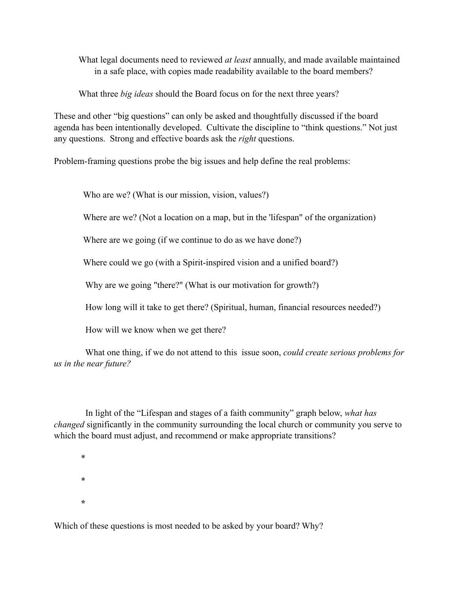What legal documents need to reviewed *at least* annually, and made available maintained in a safe place, with copies made readability available to the board members?

What three *big ideas* should the Board focus on for the next three years?

These and other "big questions" can only be asked and thoughtfully discussed if the board agenda has been intentionally developed. Cultivate the discipline to "think questions." Not just any questions. Strong and effective boards ask the *right* questions.

Problem-framing questions probe the big issues and help define the real problems:

Who are we? (What is our mission, vision, values?)

Where are we? (Not a location on a map, but in the 'lifespan'' of the organization)

Where are we going (if we continue to do as we have done?)

Where could we go (with a Spirit-inspired vision and a unified board?)

Why are we going "there?" (What is our motivation for growth?)

How long will it take to get there? (Spiritual, human, financial resources needed?)

How will we know when we get there?

 What one thing, if we do not attend to this issue soon, *could create serious problems for us in the near future?* 

 In light of the "Lifespan and stages of a faith community" graph below, *what has changed* significantly in the community surrounding the local church or community you serve to which the board must adjust, and recommend or make appropriate transitions?

 \* \* **\***

Which of these questions is most needed to be asked by your board? Why?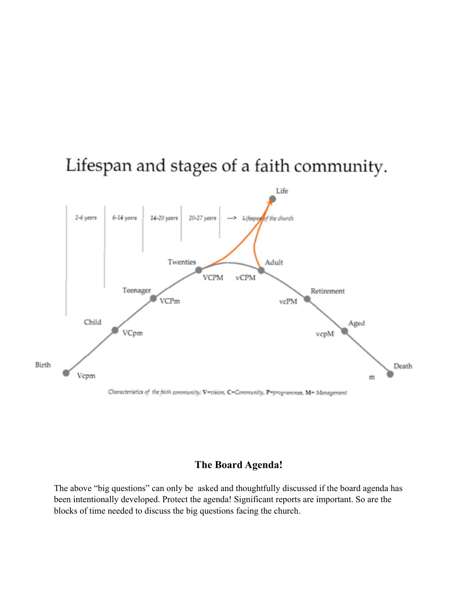

# Lifespan and stages of a faith community.

## **The Board Agenda!**

The above "big questions" can only be asked and thoughtfully discussed if the board agenda has been intentionally developed. Protect the agenda! Significant reports are important. So are the blocks of time needed to discuss the big questions facing the church.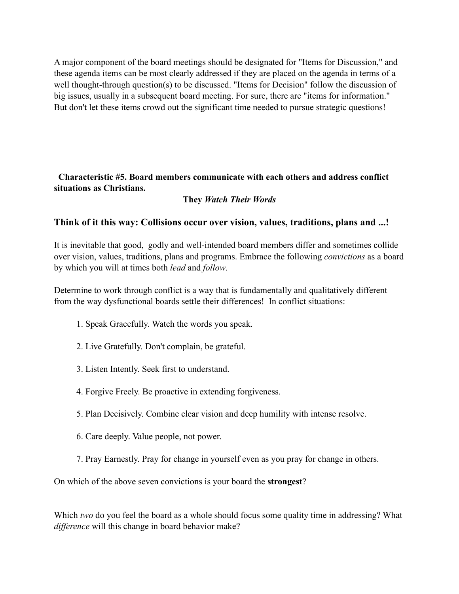A major component of the board meetings should be designated for "Items for Discussion," and these agenda items can be most clearly addressed if they are placed on the agenda in terms of a well thought-through question(s) to be discussed. "Items for Decision" follow the discussion of big issues, usually in a subsequent board meeting. For sure, there are "items for information." But don't let these items crowd out the significant time needed to pursue strategic questions!

 **Characteristic #5. Board members communicate with each others and address conflict situations as Christians.** 

#### **They** *Watch Their Words*

#### **Think of it this way: Collisions occur over vision, values, traditions, plans and ...!**

It is inevitable that good, godly and well-intended board members differ and sometimes collide over vision, values, traditions, plans and programs. Embrace the following *convictions* as a board by which you will at times both *lead* and *follow*.

Determine to work through conflict is a way that is fundamentally and qualitatively different from the way dysfunctional boards settle their differences! In conflict situations:

- 1. Speak Gracefully. Watch the words you speak.
- 2. Live Gratefully. Don't complain, be grateful.
- 3. Listen Intently. Seek first to understand.
- 4. Forgive Freely. Be proactive in extending forgiveness.
- 5. Plan Decisively. Combine clear vision and deep humility with intense resolve.
- 6. Care deeply. Value people, not power.
- 7. Pray Earnestly. Pray for change in yourself even as you pray for change in others.

On which of the above seven convictions is your board the **strongest**?

Which *two* do you feel the board as a whole should focus some quality time in addressing? What *difference* will this change in board behavior make?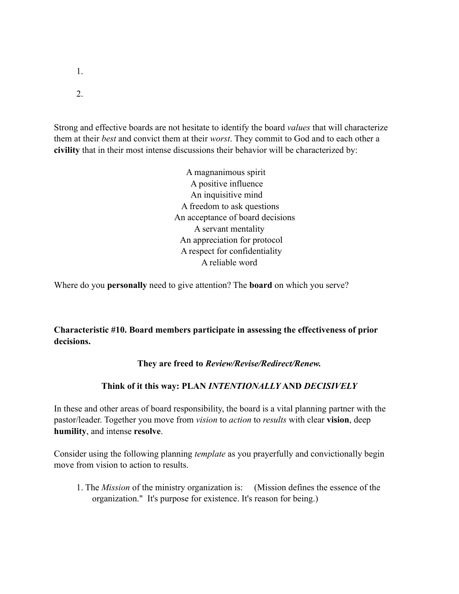- 1.
- 2.

Strong and effective boards are not hesitate to identify the board *values* that will characterize them at their *best* and convict them at their *worst*. They commit to God and to each other a **civility** that in their most intense discussions their behavior will be characterized by:

> A magnanimous spirit A positive influence An inquisitive mind A freedom to ask questions An acceptance of board decisions A servant mentality An appreciation for protocol A respect for confidentiality A reliable word

Where do you **personally** need to give attention? The **board** on which you serve?

**Characteristic #10. Board members participate in assessing the effectiveness of prior decisions.**

**They are freed to** *Review/Revise/Redirect/Renew.* 

#### **Think of it this way: PLAN** *INTENTIONALLY* **AND** *DECISIVELY*

In these and other areas of board responsibility, the board is a vital planning partner with the pastor/leader. Together you move from *vision* to *action* to *results* with clear **vision**, deep **humility**, and intense **resolve**.

Consider using the following planning *template* as you prayerfully and convictionally begin move from vision to action to results.

 1. The *Mission* of the ministry organization is: (Mission defines the essence of the organization." It's purpose for existence. It's reason for being.)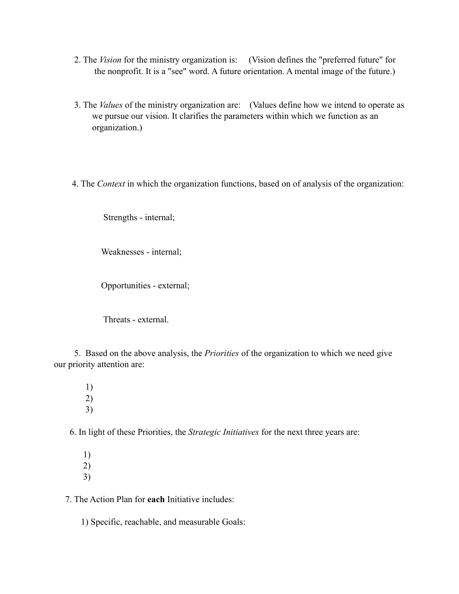- 2. The *Vision* for the ministry organization is: (Vision defines the "preferred future" for the nonprofit. It is a "see" word. A future orientation. A mental image of the future.)
- 3. The *Values* of the ministry organization are: (Values define how we intend to operate as we pursue our vision. It clarifies the parameters within which we function as an organization.)
- 4. The *Context* in which the organization functions, based on of analysis of the organization:

Strengths - internal;

Weaknesses - internal;

Opportunities - external;

Threats - external.

 5. Based on the above analysis, the *Priorities* of the organization to which we need give our priority attention are:

 1) 2) 3)

6. In light of these Priorities, the *Strategic Initiatives* for the next three years are:

 1) 2) 3)

7. The Action Plan for **each** Initiative includes:

1) Specific, reachable, and measurable Goals: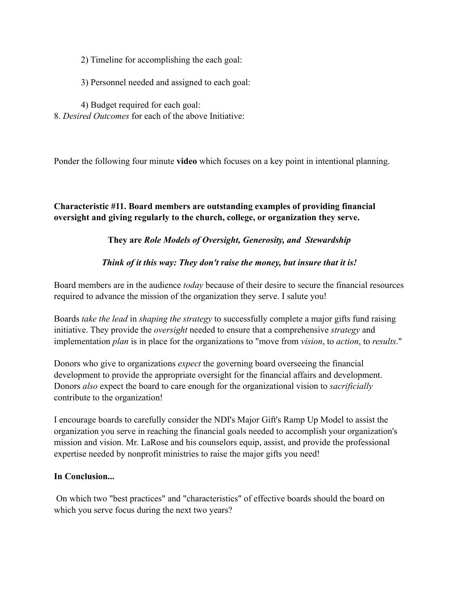2) Timeline for accomplishing the each goal:

- 3) Personnel needed and assigned to each goal:
- 4) Budget required for each goal:
- 8. *Desired Outcomes* for each of the above Initiative:

Ponder the following four minute **video** which focuses on a key point in intentional planning.

## **Characteristic #11. Board members are outstanding examples of providing financial oversight and giving regularly to the church, college, or organization they serve.**

## **They are** *Role Models of Oversight, Generosity, and Stewardship*

## *Think of it this way: They don't raise the money, but insure that it is!*

Board members are in the audience *today* because of their desire to secure the financial resources required to advance the mission of the organization they serve. I salute you!

Boards *take the lead* in *shaping the strategy* to successfully complete a major gifts fund raising initiative. They provide the *oversight* needed to ensure that a comprehensive *strategy* and implementation *plan* is in place for the organizations to "move from *vision*, to *action*, to *results*."

Donors who give to organizations *expect* the governing board overseeing the financial development to provide the appropriate oversight for the financial affairs and development. Donors *also* expect the board to care enough for the organizational vision to *sacrificially* contribute to the organization!

I encourage boards to carefully consider the NDI's Major Gift's Ramp Up Model to assist the organization you serve in reaching the financial goals needed to accomplish your organization's mission and vision. Mr. LaRose and his counselors equip, assist, and provide the professional expertise needed by nonprofit ministries to raise the major gifts you need!

#### **In Conclusion...**

 On which two "best practices" and "characteristics" of effective boards should the board on which you serve focus during the next two years?